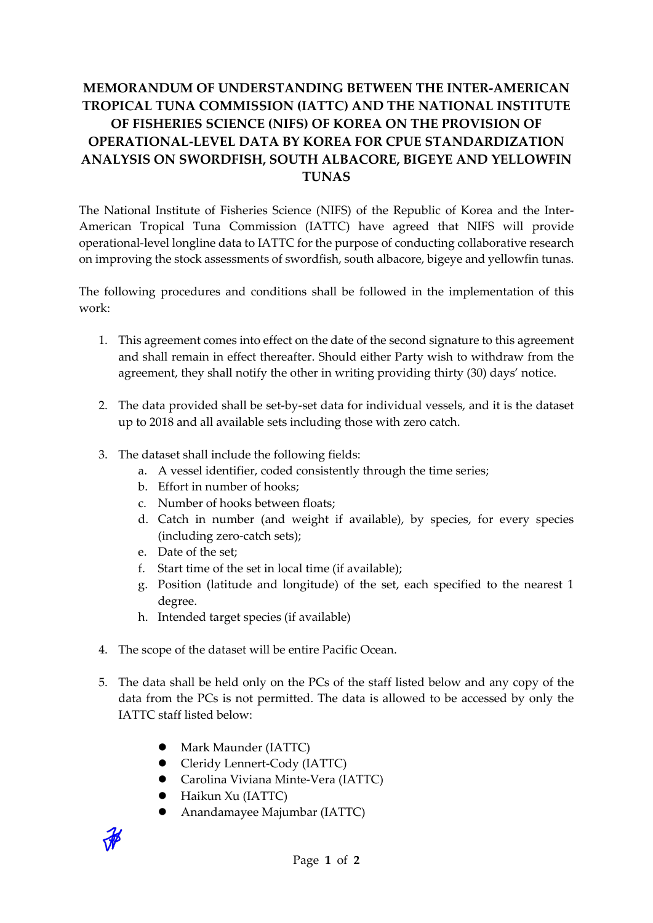## **MEMORANDUM OF UNDERSTANDING BETWEEN THE INTER-AMERICAN TROPICAL TUNA COMMISSION (IATTC) AND THE NATIONAL INSTITUTE OF FISHERIES SCIENCE (NIFS) OF KOREA ON THE PROVISION OF OPERATIONAL-LEVEL DATA BY KOREA FOR CPUE STANDARDIZATION ANALYSIS ON SWORDFISH, SOUTH ALBACORE, BIGEYE AND YELLOWFIN TUNAS**

The National Institute of Fisheries Science (NIFS) of the Republic of Korea and the Inter-American Tropical Tuna Commission (IATTC) have agreed that NIFS will provide operational-level longline data to IATTC for the purpose of conducting collaborative research on improving the stock assessments of swordfish, south albacore, bigeye and yellowfin tunas.

The following procedures and conditions shall be followed in the implementation of this work:

- 1. This agreement comes into effect on the date of the second signature to this agreement and shall remain in effect thereafter. Should either Party wish to withdraw from the agreement, they shall notify the other in writing providing thirty (30) days' notice.
- 2. The data provided shall be set-by-set data for individual vessels, and it is the dataset up to 2018 and all available sets including those with zero catch.
- 3. The dataset shall include the following fields:
	- a. A vessel identifier, coded consistently through the time series;
	- b. Effort in number of hooks;
	- c. Number of hooks between floats;
	- d. Catch in number (and weight if available), by species, for every species (including zero-catch sets);
	- e. Date of the set;
	- f. Start time of the set in local time (if available);
	- g. Position (latitude and longitude) of the set, each specified to the nearest 1 degree.
	- h. Intended target species (if available)
- 4. The scope of the dataset will be entire Pacific Ocean.
- 5. The data shall be held only on the PCs of the staff listed below and any copy of the data from the PCs is not permitted. The data is allowed to be accessed by only the IATTC staff listed below:
	- Mark Maunder (IATTC)
	- Cleridy Lennert-Cody (IATTC)
	- Carolina Viviana Minte-Vera (IATTC)
	- Haikun Xu (IATTC)
	- Anandamayee Majumbar (IATTC)